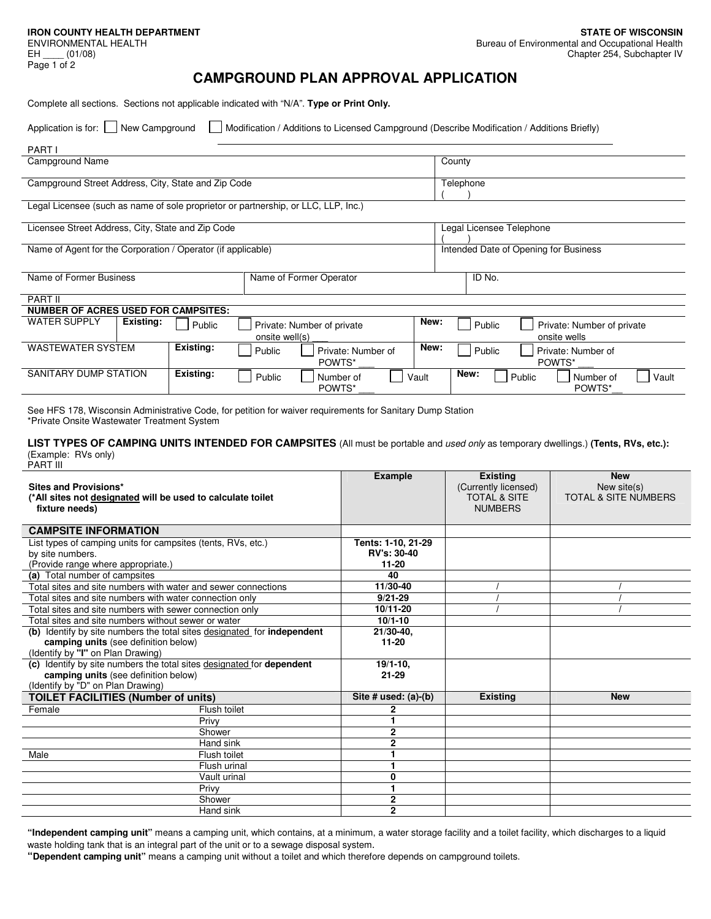ENVIRONMENTAL HEALTH  $EH$  (01/08) Page 1 of 2

 $\frac{1}{2}$  .  $\frac{1}{2}$  .

# **CAMPGROUND PLAN APPROVAL APPLICATION**

Complete all sections. Sections not applicable indicated with "N/A". **Type or Print Only.** 

Application is for: 
New Campground

Modification / Additions to Licensed Campground (Describe Modification / Additions Briefly)

| <b>PART I</b>                                                                      |                         |                |                              |           |                                       |                          |                                            |  |
|------------------------------------------------------------------------------------|-------------------------|----------------|------------------------------|-----------|---------------------------------------|--------------------------|--------------------------------------------|--|
| Campground Name                                                                    |                         |                |                              | County    |                                       |                          |                                            |  |
| Campground Street Address, City, State and Zip Code                                |                         |                |                              | Telephone |                                       |                          |                                            |  |
| Legal Licensee (such as name of sole proprietor or partnership, or LLC, LLP, Inc.) |                         |                |                              |           |                                       |                          |                                            |  |
| Licensee Street Address, City, State and Zip Code                                  |                         |                |                              |           |                                       | Legal Licensee Telephone |                                            |  |
| Name of Agent for the Corporation / Operator (if applicable)                       |                         |                |                              |           | Intended Date of Opening for Business |                          |                                            |  |
| Name of Former Business                                                            | Name of Former Operator |                |                              |           | ID No.                                |                          |                                            |  |
| <b>PART II</b>                                                                     |                         |                |                              |           |                                       |                          |                                            |  |
| <b>NUMBER OF ACRES USED FOR CAMPSITES:</b>                                         |                         |                |                              |           |                                       |                          |                                            |  |
| <b>WATER SUPPLY</b><br>Existing:                                                   | Public                  | onsite well(s) | Private: Number of private   | New:      |                                       | Public                   | Private: Number of private<br>onsite wells |  |
| <b>WASTEWATER SYSTEM</b>                                                           | Existing:               | Public         | Private: Number of<br>POWTS* | New:      |                                       | Public                   | Private: Number of<br>POWTS*               |  |
| SANITARY DUMP STATION<br>Existing:                                                 |                         | Public         | Vault<br>Number of<br>POWTS* |           |                                       | New:<br>Public           | Vault<br>Number of<br>POWTS*               |  |

See HFS 178, Wisconsin Administrative Code, for petition for waiver requirements for Sanitary Dump Station \*Private Onsite Wastewater Treatment System

**LIST TYPES OF CAMPING UNITS INTENDED FOR CAMPSITES** (All must be portable and used only as temporary dwellings.) **(Tents, RVs, etc.):** (Example: RVs only) PART III

| Sites and Provisions*<br>(*All sites not designated will be used to calculate toilet<br>fixture needs) |                                                              | <b>Example</b>           | <b>Existing</b><br>(Currently licensed)<br><b>TOTAL &amp; SITE</b><br><b>NUMBERS</b> | <b>New</b><br>New site(s)<br><b>TOTAL &amp; SITE NUMBERS</b> |
|--------------------------------------------------------------------------------------------------------|--------------------------------------------------------------|--------------------------|--------------------------------------------------------------------------------------|--------------------------------------------------------------|
| <b>CAMPSITE INFORMATION</b>                                                                            |                                                              |                          |                                                                                      |                                                              |
|                                                                                                        | List types of camping units for campsites (tents, RVs, etc.) | Tents: 1-10, 21-29       |                                                                                      |                                                              |
| by site numbers.                                                                                       |                                                              | <b>RV's: 30-40</b>       |                                                                                      |                                                              |
| (Provide range where appropriate.)                                                                     |                                                              | $11 - 20$                |                                                                                      |                                                              |
| (a) Total number of campsites                                                                          |                                                              | 40                       |                                                                                      |                                                              |
| Total sites and site numbers with water and sewer connections                                          |                                                              | 11/30-40                 |                                                                                      |                                                              |
| Total sites and site numbers with water connection only                                                |                                                              | $9/21 - 29$              |                                                                                      |                                                              |
| Total sites and site numbers with sewer connection only                                                |                                                              | 10/11-20                 |                                                                                      |                                                              |
| Total sites and site numbers without sewer or water                                                    |                                                              | $10/1 - 10$              |                                                                                      |                                                              |
| (b) Identify by site numbers the total sites designated for <b>independent</b>                         |                                                              | $21/30-40$ ,             |                                                                                      |                                                              |
| camping units (see definition below)                                                                   |                                                              | $11 - 20$                |                                                                                      |                                                              |
| (Identify by "I" on Plan Drawing)                                                                      |                                                              |                          |                                                                                      |                                                              |
| (c) Identify by site numbers the total sites designated for dependent                                  |                                                              | $19/1 - 10$ ,            |                                                                                      |                                                              |
| camping units (see definition below)                                                                   |                                                              | $21 - 29$                |                                                                                      |                                                              |
| (Identify by "D" on Plan Drawing)                                                                      |                                                              |                          |                                                                                      |                                                              |
| <b>TOILET FACILITIES (Number of units)</b>                                                             |                                                              | Site $#$ used: $(a)-(b)$ | <b>Existing</b>                                                                      | <b>New</b>                                                   |
| Female                                                                                                 | Flush toilet                                                 | 2                        |                                                                                      |                                                              |
|                                                                                                        | Privy                                                        |                          |                                                                                      |                                                              |
|                                                                                                        | Shower                                                       | $\overline{2}$           |                                                                                      |                                                              |
|                                                                                                        | Hand sink                                                    | 2                        |                                                                                      |                                                              |
| Male                                                                                                   | Flush toilet                                                 |                          |                                                                                      |                                                              |
|                                                                                                        | Flush urinal                                                 |                          |                                                                                      |                                                              |
|                                                                                                        | Vault urinal                                                 | 0                        |                                                                                      |                                                              |
|                                                                                                        | Privy                                                        | 1                        |                                                                                      |                                                              |
|                                                                                                        | Shower                                                       | $\overline{2}$           |                                                                                      |                                                              |
|                                                                                                        | Hand sink                                                    | $\overline{2}$           |                                                                                      |                                                              |

**"Independent camping unit"** means a camping unit, which contains, at a minimum, a water storage facility and a toilet facility, which discharges to a liquid waste holding tank that is an integral part of the unit or to a sewage disposal system.

**"Dependent camping unit"** means a camping unit without a toilet and which therefore depends on campground toilets.